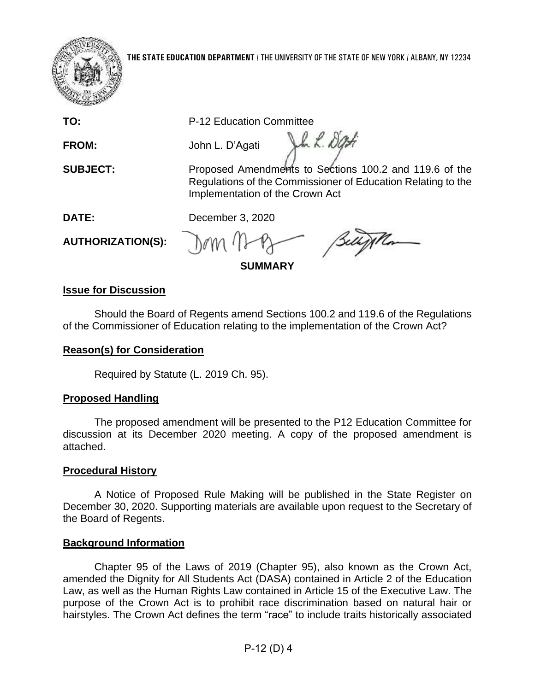

**THE STATE EDUCATION DEPARTMENT** / THE UNIVERSITY OF THE STATE OF NEW YORK / ALBANY, NY 12234

**TO:** P-12 Education Committee

**FROM:** John L. D'Agati

 Regulations of the Commissioner of Education Relating to the **SUBJECT:** Proposed Amendments to Sections 100.2 and 119.6 of the Implementation of the Crown Act

Um L. Dat

**DATE:** December 3, 2020

**AUTHORIZATION(S):** 

**SUMMARY** 

## **Issue for Discussion**

Should the Board of Regents amend Sections 100.2 and 119.6 of the Regulations of the Commissioner of Education relating to the implementation of the Crown Act?

## **Reason(s) for Consideration**

Required by Statute (L. 2019 Ch. 95).

# **Proposed Handling**

 The proposed amendment will be presented to the P12 Education Committee for discussion at its December 2020 meeting. A copy of the proposed amendment is attached.

# **Procedural History**

 A Notice of Proposed Rule Making will be published in the State Register on December 30, 2020. Supporting materials are available upon request to the Secretary of the Board of Regents.

# **Background Information**

 amended the Dignity for All Students Act (DASA) contained in Article 2 of the Education hairstyles. The Crown Act defines the term "race" to include traits historically associated Chapter 95 of the Laws of 2019 (Chapter 95), also known as the Crown Act, Law, as well as the Human Rights Law contained in Article 15 of the Executive Law. The purpose of the Crown Act is to prohibit race discrimination based on natural hair or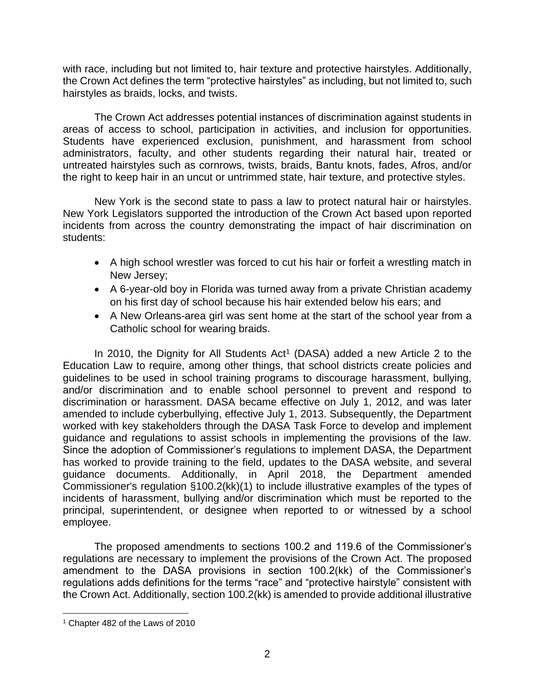with race, including but not limited to, hair texture and protective hairstyles. Additionally, the Crown Act defines the term "protective hairstyles" as including, but not limited to, such hairstyles as braids, locks, and twists.

 The Crown Act addresses potential instances of discrimination against students in administrators, faculty, and other students regarding their natural hair, treated or areas of access to school, participation in activities, and inclusion for opportunities. Students have experienced exclusion, punishment, and harassment from school untreated hairstyles such as cornrows, twists, braids, Bantu knots, fades, Afros, and/or the right to keep hair in an uncut or untrimmed state, hair texture, and protective styles.

New York is the second state to pass a law to protect natural hair or hairstyles. New York Legislators supported the introduction of the Crown Act based upon reported incidents from across the country demonstrating the impact of hair discrimination on students:

- • A high school wrestler was forced to cut his hair or forfeit a wrestling match in New Jersey;
- • A 6-year-old boy in Florida was turned away from a private Christian academy on his first day of school because his hair extended below his ears; and
- A New Orleans-area girl was sent home at the start of the school year from a Catholic school for wearing braids.

 guidelines to be used in school training programs to discourage harassment, bullying, worked with key stakeholders through the DASA Task Force to develop and implement guidance and regulations to assist schools in implementing the provisions of the law. incidents of harassment, bullying and/or discrimination which must be reported to the In 2010, the Dignity for All Students  $Act<sup>1</sup>$  (DASA) added a new Article 2 to the Education Law to require, among other things, that school districts create policies and and/or discrimination and to enable school personnel to prevent and respond to discrimination or harassment. DASA became effective on July 1, 2012, and was later amended to include cyberbullying, effective July 1, 2013. Subsequently, the Department Since the adoption of Commissioner's regulations to implement DASA, the Department has worked to provide training to the field, updates to the DASA website, and several guidance documents. Additionally, in April 2018, the Department amended Commissioner's regulation §100.2(kk)(1) to include illustrative examples of the types of principal, superintendent, or designee when reported to or witnessed by a school employee.

 The proposed amendments to sections 100.2 and 119.6 of the Commissioner's regulations adds definitions for the terms "race" and "protective hairstyle" consistent with the Crown Act. Additionally, section 100.2(kk) is amended to provide additional illustrative regulations are necessary to implement the provisions of the Crown Act. The proposed amendment to the DASA provisions in section 100.2(kk) of the Commissioner's

<sup>1</sup> Chapter 482 of the Laws of 2010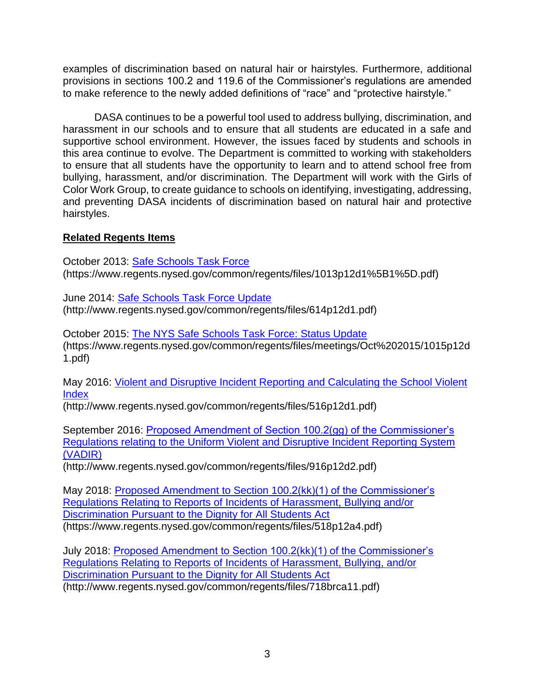examples of discrimination based on natural hair or hairstyles. Furthermore, additional provisions in sections 100.2 and 119.6 of the Commissioner's regulations are amended to make reference to the newly added definitions of "race" and "protective hairstyle."

 harassment in our schools and to ensure that all students are educated in a safe and supportive school environment. However, the issues faced by students and schools in and preventing DASA incidents of discrimination based on natural hair and protective DASA continues to be a powerful tool used to address bullying, discrimination, and this area continue to evolve. The Department is committed to working with stakeholders to ensure that all students have the opportunity to learn and to attend school free from bullying, harassment, and/or discrimination. The Department will work with the Girls of Color Work Group, to create guidance to schools on identifying, investigating, addressing, hairstyles.

## **Related Regents Items**

October 2013: [Safe Schools Task Force](https://www.regents.nysed.gov/common/regents/files/1013p12d1%5B1%5D.pdf)  (https://www.regents.nysed.gov/common/regents/files/1013p12d1%5B1%5D.pdf)

June 2014: [Safe Schools Task Force Update](https://www.regents.nysed.gov/common/regents/files/614p12d1.pdf)  (http://www.regents.nysed.gov/common/regents/files/614p12d1.pdf)

October 2015: [The NYS Safe Schools Task Force: Status Update](https://www.regents.nysed.gov/common/regents/files/meetings/Oct%202015/1015p12d1.pdf)  (https://www.regents.nysed.gov/common/regents/files/meetings/Oct%202015/1015p12d 1.pdf)

May 2016: [Violent and Disruptive Incident Reporting and Calculating the School Violent](https://www.regents.nysed.gov/common/regents/files/516p12d1.pdf)  [Index](https://www.regents.nysed.gov/common/regents/files/516p12d1.pdf) 

(http://www.regents.nysed.gov/common/regents/files/516p12d1.pdf)

September 2016: [Proposed Amendment of Section 100.2\(gg\) of the Commissioner's](https://www.regents.nysed.gov/common/regents/files/916p12d2.pdf)  [Regulations relating to the Uniform Violent and Disruptive Incident Reporting System](https://www.regents.nysed.gov/common/regents/files/916p12d2.pdf)  [\(VADIR\)](https://www.regents.nysed.gov/common/regents/files/916p12d2.pdf) 

(http://www.regents.nysed.gov/common/regents/files/916p12d2.pdf)

May 2018: [Proposed Amendment to Section 100.2\(kk\)\(1\) of the Commissioner's](https://www.regents.nysed.gov/common/regents/files/518p12a4.pdf)  [Regulations Relating to Reports of Incidents of Harassment, Bullying and/or](https://www.regents.nysed.gov/common/regents/files/518p12a4.pdf)  [Discrimination Pursuant to the Dignity for All Students Act](https://www.regents.nysed.gov/common/regents/files/518p12a4.pdf)  (https://www.regents.nysed.gov/common/regents/files/518p12a4.pdf)

July 2018: [Proposed Amendment to Section 100.2\(kk\)\(1\) of the Commissioner's](https://www.regents.nysed.gov/common/regents/files/718brca11.pdf)  [Regulations Relating to Reports of Incidents of Harassment, Bullying, and/or](https://www.regents.nysed.gov/common/regents/files/718brca11.pdf)  [Discrimination Pursuant to the Dignity for All Students Act](https://www.regents.nysed.gov/common/regents/files/718brca11.pdf)  (http://www.regents.nysed.gov/common/regents/files/718brca11.pdf)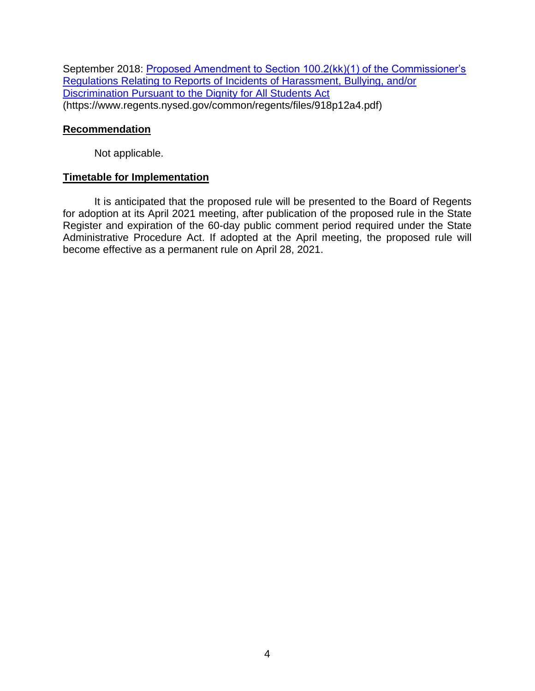September 2018: [Proposed Amendment to Section 100.2\(kk\)\(1\) of the Commissioner's](https://www.regents.nysed.gov/common/regents/files/918p12a4.pdf) [Regulations Relating to Reports of Incidents of Harassment, Bullying, and/or](https://www.regents.nysed.gov/common/regents/files/918p12a4.pdf)  [Discrimination Pursuant to the Dignity for All Students Act](https://www.regents.nysed.gov/common/regents/files/918p12a4.pdf)  (https://www.regents.nysed.gov/common/regents/files/918p12a4.pdf)

### **Recommendation**

Not applicable.

### **Timetable for Implementation**

 Register and expiration of the 60-day public comment period required under the State It is anticipated that the proposed rule will be presented to the Board of Regents for adoption at its April 2021 meeting, after publication of the proposed rule in the State Administrative Procedure Act. If adopted at the April meeting, the proposed rule will become effective as a permanent rule on April 28, 2021.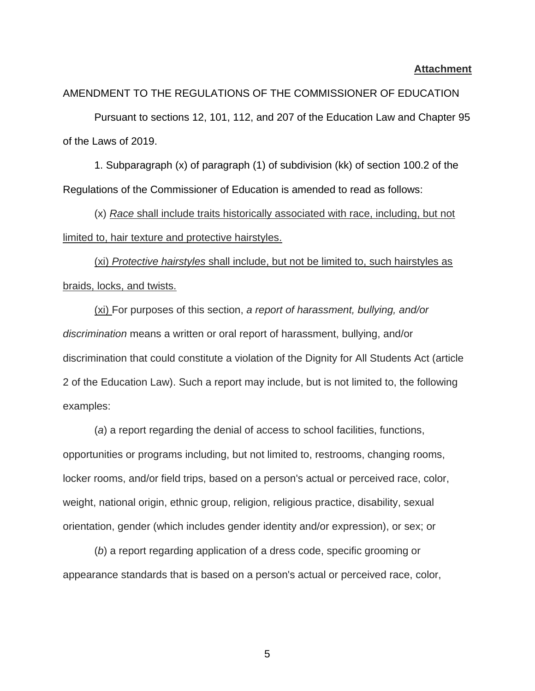#### **Attachment**

#### AMENDMENT TO THE REGULATIONS OF THE COMMISSIONER OF EDUCATION

Pursuant to sections 12, 101, 112, and 207 of the Education Law and Chapter 95 of the Laws of 2019.

1. Subparagraph (x) of paragraph (1) of subdivision (kk) of section 100.2 of the Regulations of the Commissioner of Education is amended to read as follows:

(x) *Race* shall include traits historically associated with race, including, but not limited to, hair texture and protective hairstyles.

(xi) *Protective hairstyles* shall include, but not be limited to, such hairstyles as braids, locks, and twists.

(xi) For purposes of this section, *a report of harassment, bullying, and/or discrimination* means a written or oral report of harassment, bullying, and/or discrimination that could constitute a violation of the Dignity for All Students Act (article 2 of the Education Law). Such a report may include, but is not limited to, the following examples:

(*a*) a report regarding the denial of access to school facilities, functions, opportunities or programs including, but not limited to, restrooms, changing rooms, locker rooms, and/or field trips, based on a person's actual or perceived race, color, weight, national origin, ethnic group, religion, religious practice, disability, sexual orientation, gender (which includes gender identity and/or expression), or sex; or

(*b*) a report regarding application of a dress code, specific grooming or appearance standards that is based on a person's actual or perceived race, color,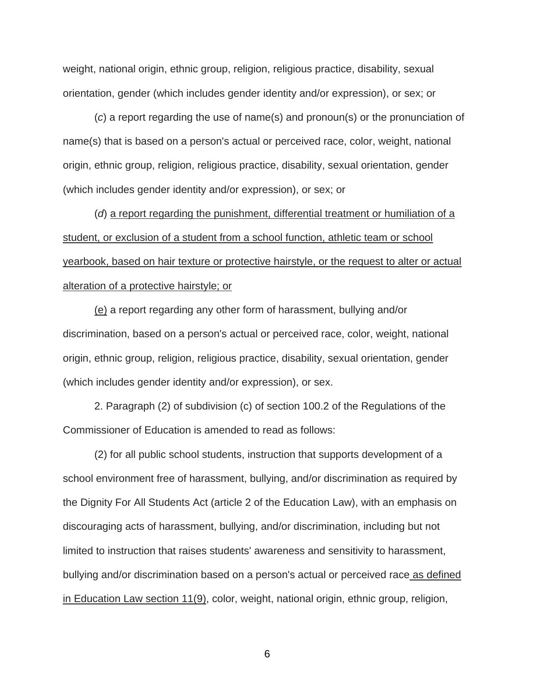weight, national origin, ethnic group, religion, religious practice, disability, sexual orientation, gender (which includes gender identity and/or expression), or sex; or

(*c*) a report regarding the use of name(s) and pronoun(s) or the pronunciation of name(s) that is based on a person's actual or perceived race, color, weight, national origin, ethnic group, religion, religious practice, disability, sexual orientation, gender (which includes gender identity and/or expression), or sex; or

(*d*) a report regarding the punishment, differential treatment or humiliation of a student, or exclusion of a student from a school function, athletic team or school yearbook, based on hair texture or protective hairstyle, or the request to alter or actual alteration of a protective hairstyle; or

(e) a report regarding any other form of harassment, bullying and/or discrimination, based on a person's actual or perceived race, color, weight, national origin, ethnic group, religion, religious practice, disability, sexual orientation, gender (which includes gender identity and/or expression), or sex.

2. Paragraph (2) of subdivision (c) of section 100.2 of the Regulations of the Commissioner of Education is amended to read as follows:

(2) for all public school students, instruction that supports development of a school environment free of harassment, bullying, and/or discrimination as required by the Dignity For All Students Act (article 2 of the Education Law), with an emphasis on discouraging acts of harassment, bullying, and/or discrimination, including but not limited to instruction that raises students' awareness and sensitivity to harassment, bullying and/or discrimination based on a person's actual or perceived race as defined in Education Law section 11(9), color, weight, national origin, ethnic group, religion,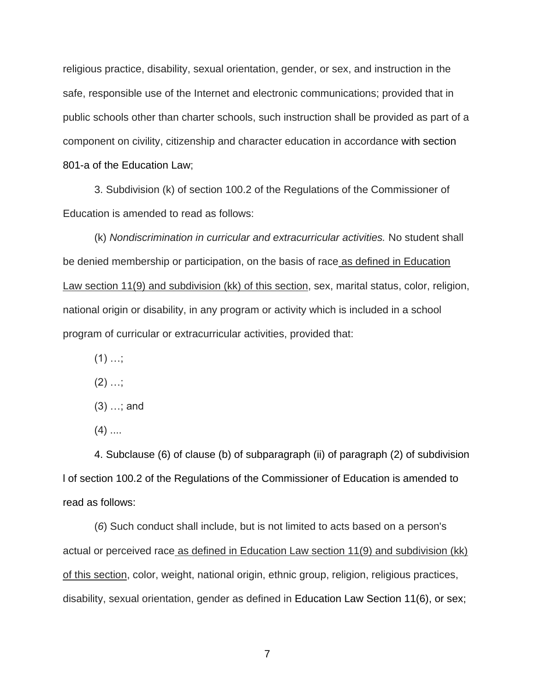religious practice, disability, sexual orientation, gender, or sex, and instruction in the safe, responsible use of the Internet and electronic communications; provided that in public schools other than charter schools, such instruction shall be provided as part of a component on civility, citizenship and character education in accordance with [section](https://1.next.westlaw.com/Link/Document/FullText?findType=L&pubNum=1000069&cite=NYEDS801-A&originatingDoc=I888EC52D69F140399090E49DD49BB32B&refType=LQ&originationContext=document&transitionType=DocumentItem&contextData=(sc.Category))  [801-a of the Education Law;](https://1.next.westlaw.com/Link/Document/FullText?findType=L&pubNum=1000069&cite=NYEDS801-A&originatingDoc=I888EC52D69F140399090E49DD49BB32B&refType=LQ&originationContext=document&transitionType=DocumentItem&contextData=(sc.Category))

3. Subdivision (k) of section 100.2 of the Regulations of the Commissioner of Education is amended to read as follows:

(k) *Nondiscrimination in curricular and extracurricular activities.* No student shall be denied membership or participation, on the basis of race as defined in Education Law section 11(9) and subdivision (kk) of this section, sex, marital status, color, religion, national origin or disability, in any program or activity which is included in a school program of curricular or extracurricular activities, provided that:

- $(1)$  ...;
- $(2)$  ...;
- (3) …; and
- $(4)$  ....

4. Subclause (6) of clause (b) of subparagraph (ii) of paragraph (2) of subdivision l of section 100.2 of the Regulations of the Commissioner of Education is amended to read as follows:

(*6*) Such conduct shall include, but is not limited to acts based on a person's actual or perceived race as defined in Education Law section 11(9) and subdivision (kk) of this section, color, weight, national origin, ethnic group, religion, religious practices, disability, sexual orientation, gender as defined in [Education Law Section 11\(6\),](https://1.next.westlaw.com/Link/Document/FullText?findType=L&pubNum=1000069&cite=NYEDS11&originatingDoc=I888EC52D69F140399090E49DD49BB32B&refType=LQ&originationContext=document&transitionType=DocumentItem&contextData=(sc.Category)) or sex;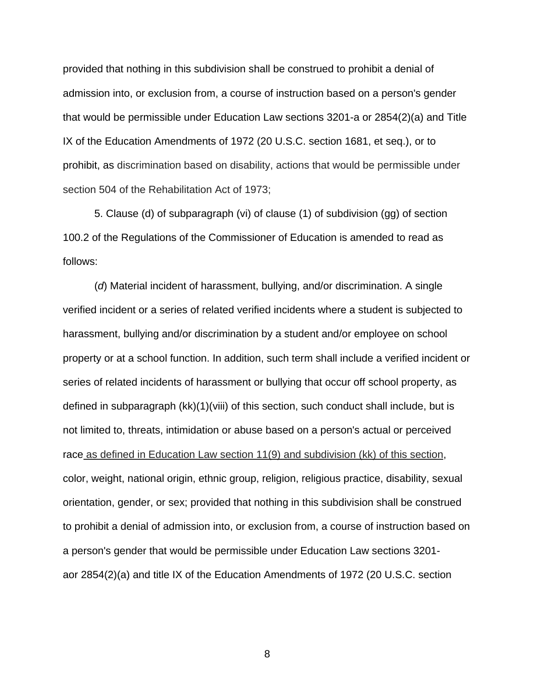provided that nothing in this subdivision shall be construed to prohibit a denial of admission into, or exclusion from, a course of instruction based on a person's gender that would be permissible under [Education Law sections 3201-a](https://1.next.westlaw.com/Link/Document/FullText?findType=L&pubNum=1000069&cite=NYEDS3201-A&originatingDoc=I888EC52D69F140399090E49DD49BB32B&refType=LQ&originationContext=document&transitionType=DocumentItem&contextData=(sc.Category)) or [2854\(2\)\(a\)](https://1.next.westlaw.com/Link/Document/FullText?findType=L&pubNum=1000069&cite=NYEDS2854&originatingDoc=I888EC52D69F140399090E49DD49BB32B&refType=LQ&originationContext=document&transitionType=DocumentItem&contextData=(sc.Category)) and Title IX of the Education Amendments of 1972 [\(20 U.S.C. section 1681, et seq.\)](https://1.next.westlaw.com/Link/Document/FullText?findType=L&pubNum=1000546&cite=20USCAS1681&originatingDoc=I888EC52D69F140399090E49DD49BB32B&refType=LQ&originationContext=document&transitionType=DocumentItem&contextData=(sc.Category)), or to prohibit, as discrimination based on disability, actions that would be permissible under section 504 of the Rehabilitation Act of 1973;

5. Clause (d) of subparagraph (vi) of clause (1) of subdivision (gg) of section 100.2 of the Regulations of the Commissioner of Education is amended to read as follows:

(*d*) Material incident of harassment, bullying, and/or discrimination. A single verified incident or a series of related verified incidents where a student is subjected to harassment, bullying and/or discrimination by a student and/or employee on school property or at a school function. In addition, such term shall include a verified incident or series of related incidents of harassment or bullying that occur off school property, as defined in subparagraph (kk)(1)(viii) of this section, such conduct shall include, but is not limited to, threats, intimidation or abuse based on a person's actual or perceived race as defined in Education Law section 11(9) and subdivision (kk) of this section, color, weight, national origin, ethnic group, religion, religious practice, disability, sexual orientation, gender, or sex; provided that nothing in this subdivision shall be construed to prohibit a denial of admission into, or exclusion from, a course of instruction based on a person's gender that would be permissible under [Education Law sections 3201](https://1.next.westlaw.com/Link/Document/FullText?findType=L&pubNum=1000069&cite=NYEDS3201-A&originatingDoc=I888EC52D69F140399090E49DD49BB32B&refType=LQ&originationContext=document&transitionType=DocumentItem&contextData=(sc.Category)) [ao](https://1.next.westlaw.com/Link/Document/FullText?findType=L&pubNum=1000069&cite=NYEDS3201-A&originatingDoc=I888EC52D69F140399090E49DD49BB32B&refType=LQ&originationContext=document&transitionType=DocumentItem&contextData=(sc.Category))r [2854\(2\)\(a\)](https://1.next.westlaw.com/Link/Document/FullText?findType=L&pubNum=1000069&cite=NYEDS2854&originatingDoc=I888EC52D69F140399090E49DD49BB32B&refType=LQ&originationContext=document&transitionType=DocumentItem&contextData=(sc.Category)) and title IX of the Education Amendments of 1972 [\(20 U.S.C. section](https://1.next.westlaw.com/Link/Document/FullText?findType=L&pubNum=1000546&cite=20USCAS1681&originatingDoc=I888EC52D69F140399090E49DD49BB32B&refType=LQ&originationContext=document&transitionType=DocumentItem&contextData=(sc.Category))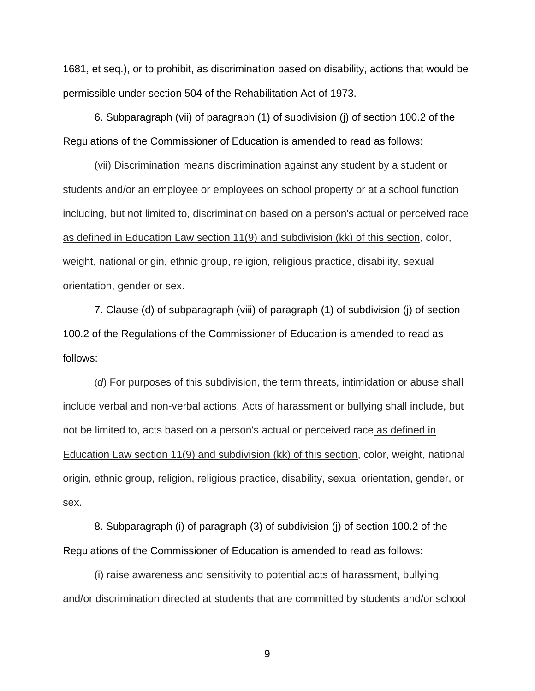[1681, et seq.\)](https://1.next.westlaw.com/Link/Document/FullText?findType=L&pubNum=1000546&cite=20USCAS1681&originatingDoc=I888EC52D69F140399090E49DD49BB32B&refType=LQ&originationContext=document&transitionType=DocumentItem&contextData=(sc.Category)), or to prohibit, as discrimination based on disability, actions that would be permissible under section 504 of the Rehabilitation Act of 1973.

6. Subparagraph (vii) of paragraph (1) of subdivision (j) of section 100.2 of the Regulations of the Commissioner of Education is amended to read as follows:

(vii) Discrimination means discrimination against any student by a student or students and/or an employee or employees on school property or at a school function including, but not limited to, discrimination based on a person's actual or perceived race as defined in Education Law section 11(9) and subdivision (kk) of this section, color, weight, national origin, ethnic group, religion, religious practice, disability, sexual orientation, gender or sex.

7. Clause (d) of subparagraph (viii) of paragraph (1) of subdivision (j) of section 100.2 of the Regulations of the Commissioner of Education is amended to read as follows:

(*d*) For purposes of this subdivision, the term threats, intimidation or abuse shall include verbal and non-verbal actions. Acts of harassment or bullying shall include, but not be limited to, acts based on a person's actual or perceived race as defined in Education Law section 11(9) and subdivision (kk) of this section, color, weight, national origin, ethnic group, religion, religious practice, disability, sexual orientation, gender, or sex.

8. Subparagraph (i) of paragraph (3) of subdivision (j) of section 100.2 of the Regulations of the Commissioner of Education is amended to read as follows:

(i) raise awareness and sensitivity to potential acts of harassment, bullying, and/or discrimination directed at students that are committed by students and/or school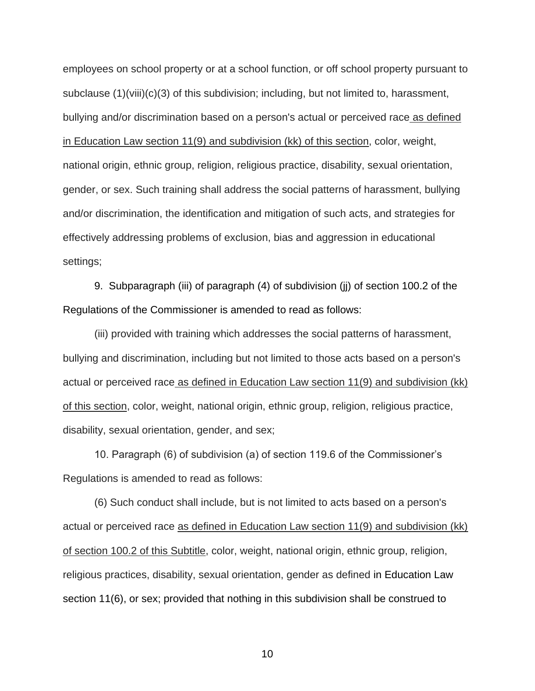employees on school property or at a school function, or off school property pursuant to subclause (1)(viii)(c)(3) of this subdivision; including, but not limited to, harassment, bullying and/or discrimination based on a person's actual or perceived race as defined in Education Law section 11(9) and subdivision (kk) of this section, color, weight, national origin, ethnic group, religion, religious practice, disability, sexual orientation, gender, or sex. Such training shall address the social patterns of harassment, bullying and/or discrimination, the identification and mitigation of such acts, and strategies for effectively addressing problems of exclusion, bias and aggression in educational settings;

9. Subparagraph (iii) of paragraph (4) of subdivision (jj) of section 100.2 of the Regulations of the Commissioner is amended to read as follows:

(iii) provided with training which addresses the social patterns of harassment, bullying and discrimination, including but not limited to those acts based on a person's actual or perceived race as defined in Education Law section 11(9) and subdivision (kk) of this section, color, weight, national origin, ethnic group, religion, religious practice, disability, sexual orientation, gender, and sex;

10. Paragraph (6) of subdivision (a) of section 119.6 of the Commissioner's Regulations is amended to read as follows:

(6) Such conduct shall include, but is not limited to acts based on a person's actual or perceived race as defined in Education Law section 11(9) and subdivision (kk) of section 100.2 of this Subtitle, color, weight, national origin, ethnic group, religion, religious practices, disability, sexual orientation, gender as defined in [Education Law](https://1.next.westlaw.com/Link/Document/FullText?findType=L&pubNum=1000069&cite=NYEDS11&originatingDoc=I3252B240E35211E2BB4BE99BA69568D4&refType=LQ&originationContext=document&transitionType=DocumentItem&contextData=(sc.Category))  [section 11\(6\),](https://1.next.westlaw.com/Link/Document/FullText?findType=L&pubNum=1000069&cite=NYEDS11&originatingDoc=I3252B240E35211E2BB4BE99BA69568D4&refType=LQ&originationContext=document&transitionType=DocumentItem&contextData=(sc.Category)) or sex; provided that nothing in this subdivision shall be construed to